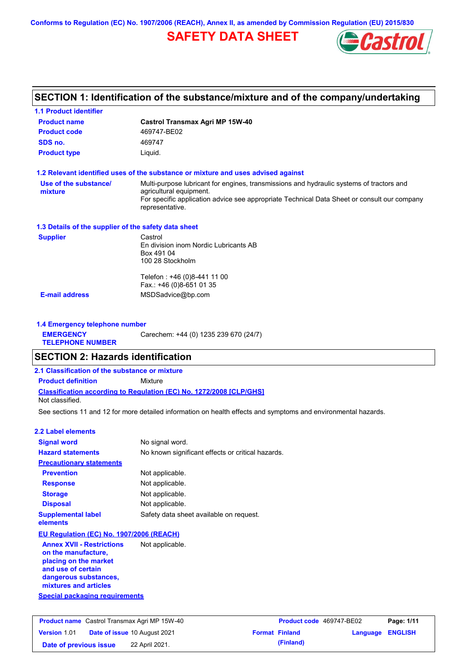**Conforms to Regulation (EC) No. 1907/2006 (REACH), Annex II, as amended by Commission Regulation (EU) 2015/830**

# **SAFETY DATA SHEET**



# **SECTION 1: Identification of the substance/mixture and of the company/undertaking**

| <b>1.1 Product identifier</b>                        |                                                                                                                                                                                                                                       |
|------------------------------------------------------|---------------------------------------------------------------------------------------------------------------------------------------------------------------------------------------------------------------------------------------|
| <b>Product name</b>                                  | <b>Castrol Transmax Agri MP 15W-40</b>                                                                                                                                                                                                |
| <b>Product code</b>                                  | 469747-BE02                                                                                                                                                                                                                           |
| SDS no.                                              | 469747                                                                                                                                                                                                                                |
| <b>Product type</b>                                  | Liquid.                                                                                                                                                                                                                               |
|                                                      | 1.2 Relevant identified uses of the substance or mixture and uses advised against                                                                                                                                                     |
| Use of the substance/<br>mixture                     | Multi-purpose lubricant for engines, transmissions and hydraulic systems of tractors and<br>agricultural equipment.<br>For specific application advice see appropriate Technical Data Sheet or consult our company<br>representative. |
| 1.3 Details of the supplier of the safety data sheet |                                                                                                                                                                                                                                       |
| <b>Supplier</b>                                      | Castrol<br>En division inom Nordic Lubricants AB<br>Box 491 04<br>100 28 Stockholm                                                                                                                                                    |
|                                                      | Telefon: +46 (0)8-441 11 00<br>Fax.: +46 (0)8-651 01 35                                                                                                                                                                               |
| <b>E-mail address</b>                                | MSDSadvice@bp.com                                                                                                                                                                                                                     |
| 1.4 Emergency telephone number                       |                                                                                                                                                                                                                                       |
| <b>EMERGENCY</b><br><b>TELEPHONE NUMBER</b>          | Carechem: +44 (0) 1235 239 670 (24/7)                                                                                                                                                                                                 |
| <b>SECTION 2: Hazards identification</b>             |                                                                                                                                                                                                                                       |
| 2.1 Classification of the substance or mixture       |                                                                                                                                                                                                                                       |
| <b>Product definition</b>                            | Mixture                                                                                                                                                                                                                               |
| Not classified.                                      | <b>Classification according to Regulation (EC) No. 1272/2008 [CLP/GHS]</b>                                                                                                                                                            |
|                                                      | See sections 11 and 12 for more detailed information on health effects and symptoms and environmental hazards.                                                                                                                        |
|                                                      |                                                                                                                                                                                                                                       |

| 2.2 Label elements                                                                                                              |                                                   |
|---------------------------------------------------------------------------------------------------------------------------------|---------------------------------------------------|
| <b>Signal word</b>                                                                                                              | No signal word.                                   |
| <b>Hazard statements</b>                                                                                                        | No known significant effects or critical hazards. |
| <b>Precautionary statements</b>                                                                                                 |                                                   |
| <b>Prevention</b>                                                                                                               | Not applicable.                                   |
| <b>Response</b>                                                                                                                 | Not applicable.                                   |
| <b>Storage</b>                                                                                                                  | Not applicable.                                   |
| <b>Disposal</b>                                                                                                                 | Not applicable.                                   |
| <b>Supplemental label</b><br>elements                                                                                           | Safety data sheet available on request.           |
| EU Regulation (EC) No. 1907/2006 (REACH)                                                                                        |                                                   |
| <b>Annex XVII - Restrictions</b><br>on the manufacture,<br>placing on the market<br>and use of certain<br>dangerous substances, | Not applicable.                                   |

**Special packaging requirements mixtures and articles**

|                        | <b>Product name</b> Castrol Transmax Agri MP 15W-40 | <b>Product code</b> 469747-BE02 |                         | Page: 1/11 |
|------------------------|-----------------------------------------------------|---------------------------------|-------------------------|------------|
| <b>Version 1.01</b>    | <b>Date of issue 10 August 2021</b>                 | <b>Format Finland</b>           | <b>Language ENGLISH</b> |            |
| Date of previous issue | 22 April 2021.                                      | (Finland)                       |                         |            |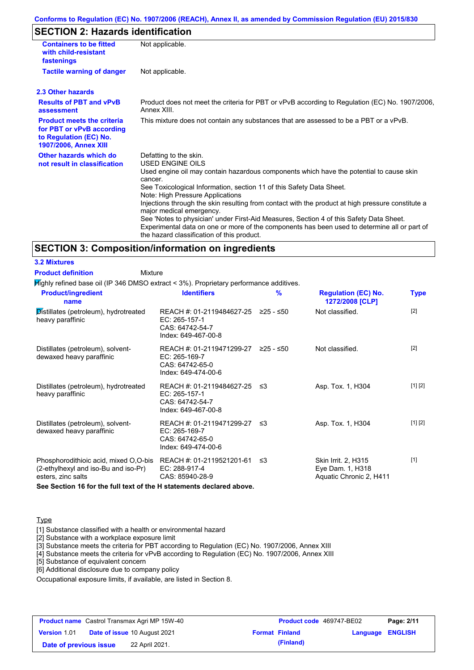### **Conforms to Regulation (EC) No. 1907/2006 (REACH), Annex II, as amended by Commission Regulation (EU) 2015/830**

# **SECTION 2: Hazards identification**

| <b>Containers to be fitted</b><br>with child-resistant<br>fastenings                                                     | Not applicable.                                                                                                                                                                                                                                                                                                                                                                                                                                                                                                                                                                                                                        |
|--------------------------------------------------------------------------------------------------------------------------|----------------------------------------------------------------------------------------------------------------------------------------------------------------------------------------------------------------------------------------------------------------------------------------------------------------------------------------------------------------------------------------------------------------------------------------------------------------------------------------------------------------------------------------------------------------------------------------------------------------------------------------|
| <b>Tactile warning of danger</b>                                                                                         | Not applicable.                                                                                                                                                                                                                                                                                                                                                                                                                                                                                                                                                                                                                        |
| 2.3 Other hazards                                                                                                        |                                                                                                                                                                                                                                                                                                                                                                                                                                                                                                                                                                                                                                        |
| <b>Results of PBT and vPvB</b><br>assessment                                                                             | Product does not meet the criteria for PBT or vPvB according to Regulation (EC) No. 1907/2006,<br>Annex XIII.                                                                                                                                                                                                                                                                                                                                                                                                                                                                                                                          |
| <b>Product meets the criteria</b><br>for PBT or vPvB according<br>to Regulation (EC) No.<br><b>1907/2006, Annex XIII</b> | This mixture does not contain any substances that are assessed to be a PBT or a vPvB.                                                                                                                                                                                                                                                                                                                                                                                                                                                                                                                                                  |
| Other hazards which do<br>not result in classification                                                                   | Defatting to the skin.<br>USED ENGINE OILS<br>Used engine oil may contain hazardous components which have the potential to cause skin<br>cancer.<br>See Toxicological Information, section 11 of this Safety Data Sheet.<br>Note: High Pressure Applications<br>Injections through the skin resulting from contact with the product at high pressure constitute a<br>major medical emergency.<br>See 'Notes to physician' under First-Aid Measures, Section 4 of this Safety Data Sheet.<br>Experimental data on one or more of the components has been used to determine all or part of<br>the hazard classification of this product. |

#### **SECTION 3: Composition/information on ingredients**

**3.2 Mixtures Product definition**

Mixture

Highly refined base oil (IP 346 DMSO extract < 3%). Proprietary performance additives.

| <b>Product/ingredient</b><br>name                                                                   | <b>Identifiers</b>                                                                             | $\frac{9}{6}$ | <b>Regulation (EC) No.</b><br>1272/2008 [CLP]                      | <b>Type</b> |
|-----------------------------------------------------------------------------------------------------|------------------------------------------------------------------------------------------------|---------------|--------------------------------------------------------------------|-------------|
| Distillates (petroleum), hydrotreated<br>heavy paraffinic                                           | REACH #: 01-2119484627-25<br>EC: 265-157-1<br>CAS: 64742-54-7<br>Index: 649-467-00-8           | ≥25 - ≤50     | Not classified.                                                    | $[2]$       |
| Distillates (petroleum), solvent-<br>dewaxed heavy paraffinic                                       | REACH #: 01-2119471299-27 ≥25 - ≤50<br>EC: 265-169-7<br>CAS: 64742-65-0<br>Index: 649-474-00-6 |               | Not classified.                                                    | $[2]$       |
| Distillates (petroleum), hydrotreated<br>heavy paraffinic                                           | REACH #: 01-2119484627-25 ≤3<br>EC: 265-157-1<br>CAS: 64742-54-7<br>Index: 649-467-00-8        |               | Asp. Tox. 1, H304                                                  | [1] [2]     |
| Distillates (petroleum), solvent-<br>dewaxed heavy paraffinic                                       | REACH #: 01-2119471299-27 ≤3<br>EC: 265-169-7<br>CAS: 64742-65-0<br>Index: 649-474-00-6        |               | Asp. Tox. 1, H304                                                  | [1] [2]     |
| Phosphorodithioic acid, mixed O,O-bis<br>(2-ethylhexyl and iso-Bu and iso-Pr)<br>esters, zinc salts | REACH #: 01-2119521201-61<br>EC: 288-917-4<br>CAS: 85940-28-9                                  | -≤3           | Skin Irrit. 2, H315<br>Eye Dam. 1, H318<br>Aquatic Chronic 2, H411 | $[1]$       |

**See Section 16 for the full text of the H statements declared above.**

### **Type**

[1] Substance classified with a health or environmental hazard

[2] Substance with a workplace exposure limit

[3] Substance meets the criteria for PBT according to Regulation (EC) No. 1907/2006, Annex XIII

[4] Substance meets the criteria for vPvB according to Regulation (EC) No. 1907/2006, Annex XIII

[5] Substance of equivalent concern

[6] Additional disclosure due to company policy

Occupational exposure limits, if available, are listed in Section 8.

|                        | <b>Product name</b> Castrol Transmax Agri MP 15W-40 | <b>Product code</b> 469747-BE02 |                         | Page: 2/11 |
|------------------------|-----------------------------------------------------|---------------------------------|-------------------------|------------|
| <b>Version 1.01</b>    | <b>Date of issue 10 August 2021</b>                 | <b>Format Finland</b>           | <b>Language ENGLISH</b> |            |
| Date of previous issue | 22 April 2021.                                      | (Finland)                       |                         |            |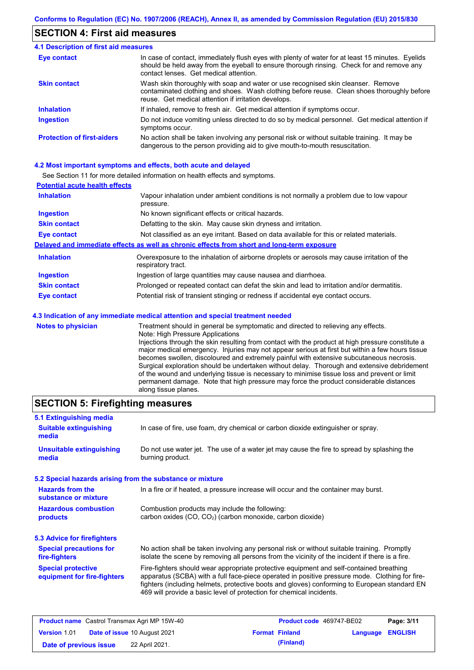### **SECTION 4: First aid measures**

#### Do not induce vomiting unless directed to do so by medical personnel. Get medical attention if symptoms occur. In case of contact, immediately flush eyes with plenty of water for at least 15 minutes. Eyelids should be held away from the eyeball to ensure thorough rinsing. Check for and remove any contact lenses. Get medical attention. **4.1 Description of first aid measures** If inhaled, remove to fresh air. Get medical attention if symptoms occur. **Ingestion Inhalation Eye contact Protection of first-aiders** No action shall be taken involving any personal risk or without suitable training. It may be dangerous to the person providing aid to give mouth-to-mouth resuscitation. **Skin contact** Wash skin thoroughly with soap and water or use recognised skin cleanser. Remove contaminated clothing and shoes. Wash clothing before reuse. Clean shoes thoroughly before reuse. Get medical attention if irritation develops.

#### **4.2 Most important symptoms and effects, both acute and delayed**

See Section 11 for more detailed information on health effects and symptoms.

| <b>Potential acute health effects</b> |                                                                                                                   |
|---------------------------------------|-------------------------------------------------------------------------------------------------------------------|
| <b>Inhalation</b>                     | Vapour inhalation under ambient conditions is not normally a problem due to low vapour<br>pressure.               |
| <b>Ingestion</b>                      | No known significant effects or critical hazards.                                                                 |
| <b>Skin contact</b>                   | Defatting to the skin. May cause skin dryness and irritation.                                                     |
| <b>Eye contact</b>                    | Not classified as an eye irritant. Based on data available for this or related materials.                         |
|                                       | Delayed and immediate effects as well as chronic effects from short and long-term exposure                        |
| <b>Inhalation</b>                     | Overexposure to the inhalation of airborne droplets or aerosols may cause irritation of the<br>respiratory tract. |
| <b>Ingestion</b>                      | Ingestion of large quantities may cause nausea and diarrhoea.                                                     |
| <b>Skin contact</b>                   | Prolonged or repeated contact can defat the skin and lead to irritation and/or dermatitis.                        |
| <b>Eye contact</b>                    | Potential risk of transient stinging or redness if accidental eye contact occurs.                                 |
|                                       | 4.3 Indication of any immediate medical attention and special treatment needed                                    |
| Notes to physician                    | Treatment should in general be symptomatic and directed to relieving any effects                                  |

**es to physician** Treatment should in general be symptomatic and directed to relieving any effects. Note: High Pressure Applications Injections through the skin resulting from contact with the product at high pressure constitute a major medical emergency. Injuries may not appear serious at first but within a few hours tissue becomes swollen, discoloured and extremely painful with extensive subcutaneous necrosis. Surgical exploration should be undertaken without delay. Thorough and extensive debridement of the wound and underlying tissue is necessary to minimise tissue loss and prevent or limit permanent damage. Note that high pressure may force the product considerable distances along tissue planes.

### **SECTION 5: Firefighting measures**

| 5.1 Extinguishing media                                   |                                                                                                                                                                                                                                                                                                                                                                   |
|-----------------------------------------------------------|-------------------------------------------------------------------------------------------------------------------------------------------------------------------------------------------------------------------------------------------------------------------------------------------------------------------------------------------------------------------|
| <b>Suitable extinguishing</b><br>media                    | In case of fire, use foam, dry chemical or carbon dioxide extinguisher or spray.                                                                                                                                                                                                                                                                                  |
| <b>Unsuitable extinguishing</b><br>media                  | Do not use water jet. The use of a water jet may cause the fire to spread by splashing the<br>burning product.                                                                                                                                                                                                                                                    |
| 5.2 Special hazards arising from the substance or mixture |                                                                                                                                                                                                                                                                                                                                                                   |
| <b>Hazards from the</b><br>substance or mixture           | In a fire or if heated, a pressure increase will occur and the container may burst.                                                                                                                                                                                                                                                                               |
| <b>Hazardous combustion</b><br>products                   | Combustion products may include the following:<br>carbon oxides (CO, CO <sub>2</sub> ) (carbon monoxide, carbon dioxide)                                                                                                                                                                                                                                          |
| 5.3 Advice for firefighters                               |                                                                                                                                                                                                                                                                                                                                                                   |
| <b>Special precautions for</b><br>fire-fighters           | No action shall be taken involving any personal risk or without suitable training. Promptly<br>isolate the scene by removing all persons from the vicinity of the incident if there is a fire.                                                                                                                                                                    |
| <b>Special protective</b><br>equipment for fire-fighters  | Fire-fighters should wear appropriate protective equipment and self-contained breathing<br>apparatus (SCBA) with a full face-piece operated in positive pressure mode. Clothing for fire-<br>fighters (including helmets, protective boots and gloves) conforming to European standard EN<br>469 will provide a basic level of protection for chemical incidents. |

|                        | <b>Product name</b> Castrol Transmax Agri MP 15W-40 | <b>Product code</b> 469747-BE02 |                         | Page: 3/11 |
|------------------------|-----------------------------------------------------|---------------------------------|-------------------------|------------|
| Version 1.01           | <b>Date of issue 10 August 2021</b>                 | <b>Format Finland</b>           | <b>Language ENGLISH</b> |            |
| Date of previous issue | 22 April 2021.                                      | (Finland)                       |                         |            |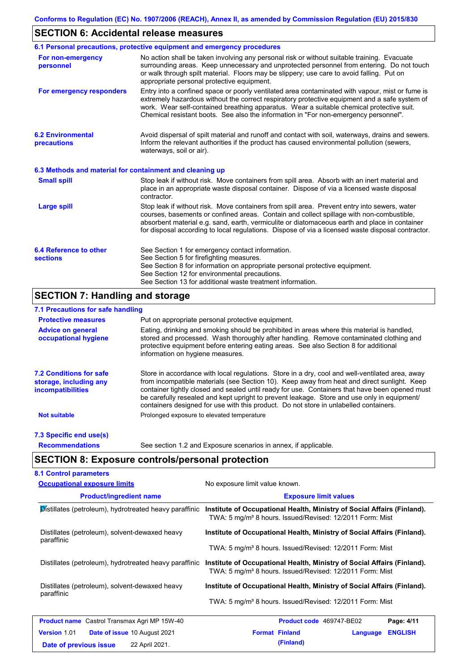# **SECTION 6: Accidental release measures**

|                                                          | 6.1 Personal precautions, protective equipment and emergency procedures                                                                                                                                                                                                                                                                                                                        |
|----------------------------------------------------------|------------------------------------------------------------------------------------------------------------------------------------------------------------------------------------------------------------------------------------------------------------------------------------------------------------------------------------------------------------------------------------------------|
| For non-emergency<br>personnel                           | No action shall be taken involving any personal risk or without suitable training. Evacuate<br>surrounding areas. Keep unnecessary and unprotected personnel from entering. Do not touch<br>or walk through spilt material. Floors may be slippery; use care to avoid falling. Put on<br>appropriate personal protective equipment.                                                            |
| For emergency responders                                 | Entry into a confined space or poorly ventilated area contaminated with vapour, mist or fume is<br>extremely hazardous without the correct respiratory protective equipment and a safe system of<br>work. Wear self-contained breathing apparatus. Wear a suitable chemical protective suit.<br>Chemical resistant boots. See also the information in "For non-emergency personnel".           |
| <b>6.2 Environmental</b><br>precautions                  | Avoid dispersal of spilt material and runoff and contact with soil, waterways, drains and sewers.<br>Inform the relevant authorities if the product has caused environmental pollution (sewers,<br>waterways, soil or air).                                                                                                                                                                    |
| 6.3 Methods and material for containment and cleaning up |                                                                                                                                                                                                                                                                                                                                                                                                |
| <b>Small spill</b>                                       | Stop leak if without risk. Move containers from spill area. Absorb with an inert material and<br>place in an appropriate waste disposal container. Dispose of via a licensed waste disposal<br>contractor.                                                                                                                                                                                     |
| <b>Large spill</b>                                       | Stop leak if without risk. Move containers from spill area. Prevent entry into sewers, water<br>courses, basements or confined areas. Contain and collect spillage with non-combustible,<br>absorbent material e.g. sand, earth, vermiculite or diatomaceous earth and place in container<br>for disposal according to local regulations. Dispose of via a licensed waste disposal contractor. |
| 6.4 Reference to other<br><b>sections</b>                | See Section 1 for emergency contact information.<br>See Section 5 for firefighting measures.<br>See Section 8 for information on appropriate personal protective equipment.<br>See Section 12 for environmental precautions.<br>See Section 13 for additional waste treatment information.                                                                                                     |

# **SECTION 7: Handling and storage**

### **7.1 Precautions for safe handling**

| <b>Protective measures</b>                                                           | Put on appropriate personal protective equipment.                                                                                                                                                                                                                                                                                                                                                                                                                                        |
|--------------------------------------------------------------------------------------|------------------------------------------------------------------------------------------------------------------------------------------------------------------------------------------------------------------------------------------------------------------------------------------------------------------------------------------------------------------------------------------------------------------------------------------------------------------------------------------|
| <b>Advice on general</b><br>occupational hygiene                                     | Eating, drinking and smoking should be prohibited in areas where this material is handled,<br>stored and processed. Wash thoroughly after handling. Remove contaminated clothing and<br>protective equipment before entering eating areas. See also Section 8 for additional<br>information on hygiene measures.                                                                                                                                                                         |
| <b>7.2 Conditions for safe</b><br>storage, including any<br><i>incompatibilities</i> | Store in accordance with local requiations. Store in a dry, cool and well-ventilated area, away<br>from incompatible materials (see Section 10). Keep away from heat and direct sunlight. Keep<br>container tightly closed and sealed until ready for use. Containers that have been opened must<br>be carefully resealed and kept upright to prevent leakage. Store and use only in equipment/<br>containers designed for use with this product. Do not store in unlabelled containers. |
| <b>Not suitable</b>                                                                  | Prolonged exposure to elevated temperature                                                                                                                                                                                                                                                                                                                                                                                                                                               |
| 7.3 Specific end use(s)                                                              |                                                                                                                                                                                                                                                                                                                                                                                                                                                                                          |
| <b>Recommendations</b>                                                               | See section 1.2 and Exposure scenarios in annex, if applicable.                                                                                                                                                                                                                                                                                                                                                                                                                          |

# **SECTION 8: Exposure controls/personal protection**

| <b>Occupational exposure limits</b>                    | No exposure limit value known.<br><b>Exposure limit values</b>                                                                                  |  |  |  |
|--------------------------------------------------------|-------------------------------------------------------------------------------------------------------------------------------------------------|--|--|--|
| <b>Product/ingredient name</b>                         |                                                                                                                                                 |  |  |  |
| Distillates (petroleum), hydrotreated heavy paraffinic | Institute of Occupational Health, Ministry of Social Affairs (Finland).<br>TWA: 5 mg/m <sup>3</sup> 8 hours. Issued/Revised: 12/2011 Form: Mist |  |  |  |
| Distillates (petroleum), solvent-dewaxed heavy         | Institute of Occupational Health, Ministry of Social Affairs (Finland).                                                                         |  |  |  |
| paraffinic                                             | TWA: 5 mg/m <sup>3</sup> 8 hours. Issued/Revised: 12/2011 Form: Mist                                                                            |  |  |  |
| Distillates (petroleum), hydrotreated heavy paraffinic | Institute of Occupational Health, Ministry of Social Affairs (Finland).<br>TWA: 5 mg/m <sup>3</sup> 8 hours. Issued/Revised: 12/2011 Form: Mist |  |  |  |
| Distillates (petroleum), solvent-dewaxed heavy         | Institute of Occupational Health, Ministry of Social Affairs (Finland).                                                                         |  |  |  |
| paraffinic                                             | TWA: 5 mg/m <sup>3</sup> 8 hours. Issued/Revised: 12/2011 Form: Mist                                                                            |  |  |  |
| <b>Product name</b> Castrol Transmax Agri MP 15W-40    | Product code 469747-BE02<br>Page: 4/11                                                                                                          |  |  |  |
| <b>Version 1.01</b><br>Date of issue 10 August 2021    | <b>Format Finland</b><br><b>ENGLISH</b><br>Language                                                                                             |  |  |  |
| 22 April 2021.<br>Date of previous issue               | (Finland)                                                                                                                                       |  |  |  |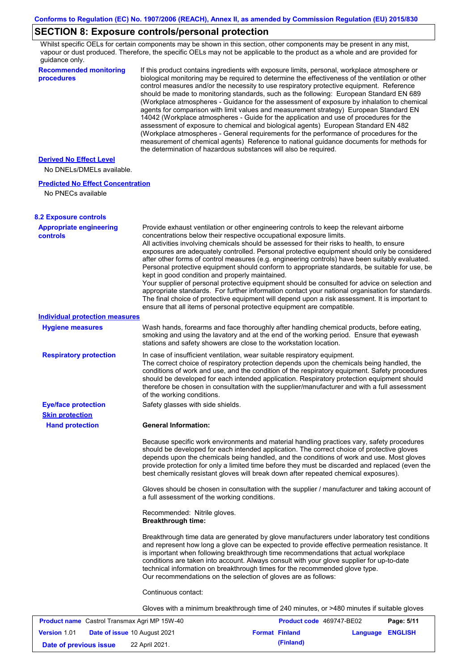# **SECTION 8: Exposure controls/personal protection**

Whilst specific OELs for certain components may be shown in this section, other components may be present in any mist, vapour or dust produced. Therefore, the specific OELs may not be applicable to the product as a whole and are provided for guidance only.

| <b>Recommended monitoring</b><br>procedures                    | If this product contains ingredients with exposure limits, personal, workplace atmosphere or<br>biological monitoring may be required to determine the effectiveness of the ventilation or other<br>control measures and/or the necessity to use respiratory protective equipment. Reference<br>should be made to monitoring standards, such as the following: European Standard EN 689<br>(Workplace atmospheres - Guidance for the assessment of exposure by inhalation to chemical<br>agents for comparison with limit values and measurement strategy) European Standard EN<br>14042 (Workplace atmospheres - Guide for the application and use of procedures for the<br>assessment of exposure to chemical and biological agents) European Standard EN 482<br>(Workplace atmospheres - General requirements for the performance of procedures for the<br>measurement of chemical agents) Reference to national guidance documents for methods for<br>the determination of hazardous substances will also be required. |            |
|----------------------------------------------------------------|----------------------------------------------------------------------------------------------------------------------------------------------------------------------------------------------------------------------------------------------------------------------------------------------------------------------------------------------------------------------------------------------------------------------------------------------------------------------------------------------------------------------------------------------------------------------------------------------------------------------------------------------------------------------------------------------------------------------------------------------------------------------------------------------------------------------------------------------------------------------------------------------------------------------------------------------------------------------------------------------------------------------------|------------|
| <b>Derived No Effect Level</b>                                 |                                                                                                                                                                                                                                                                                                                                                                                                                                                                                                                                                                                                                                                                                                                                                                                                                                                                                                                                                                                                                            |            |
| No DNELs/DMELs available.                                      |                                                                                                                                                                                                                                                                                                                                                                                                                                                                                                                                                                                                                                                                                                                                                                                                                                                                                                                                                                                                                            |            |
| <b>Predicted No Effect Concentration</b><br>No PNECs available |                                                                                                                                                                                                                                                                                                                                                                                                                                                                                                                                                                                                                                                                                                                                                                                                                                                                                                                                                                                                                            |            |
| <b>8.2 Exposure controls</b>                                   |                                                                                                                                                                                                                                                                                                                                                                                                                                                                                                                                                                                                                                                                                                                                                                                                                                                                                                                                                                                                                            |            |
| <b>Appropriate engineering</b><br><b>controls</b>              | Provide exhaust ventilation or other engineering controls to keep the relevant airborne<br>concentrations below their respective occupational exposure limits.<br>All activities involving chemicals should be assessed for their risks to health, to ensure<br>exposures are adequately controlled. Personal protective equipment should only be considered<br>after other forms of control measures (e.g. engineering controls) have been suitably evaluated.<br>Personal protective equipment should conform to appropriate standards, be suitable for use, be<br>kept in good condition and properly maintained.<br>Your supplier of personal protective equipment should be consulted for advice on selection and<br>appropriate standards. For further information contact your national organisation for standards.<br>The final choice of protective equipment will depend upon a risk assessment. It is important to<br>ensure that all items of personal protective equipment are compatible.                    |            |
| <b>Individual protection measures</b>                          |                                                                                                                                                                                                                                                                                                                                                                                                                                                                                                                                                                                                                                                                                                                                                                                                                                                                                                                                                                                                                            |            |
| <b>Hygiene measures</b>                                        | Wash hands, forearms and face thoroughly after handling chemical products, before eating,<br>smoking and using the lavatory and at the end of the working period. Ensure that eyewash<br>stations and safety showers are close to the workstation location.                                                                                                                                                                                                                                                                                                                                                                                                                                                                                                                                                                                                                                                                                                                                                                |            |
| <b>Respiratory protection</b>                                  | In case of insufficient ventilation, wear suitable respiratory equipment.<br>The correct choice of respiratory protection depends upon the chemicals being handled, the<br>conditions of work and use, and the condition of the respiratory equipment. Safety procedures<br>should be developed for each intended application. Respiratory protection equipment should<br>therefore be chosen in consultation with the supplier/manufacturer and with a full assessment<br>of the working conditions.                                                                                                                                                                                                                                                                                                                                                                                                                                                                                                                      |            |
| <b>Eye/face protection</b>                                     | Safety glasses with side shields.                                                                                                                                                                                                                                                                                                                                                                                                                                                                                                                                                                                                                                                                                                                                                                                                                                                                                                                                                                                          |            |
| <b>Skin protection</b>                                         | <b>General Information:</b>                                                                                                                                                                                                                                                                                                                                                                                                                                                                                                                                                                                                                                                                                                                                                                                                                                                                                                                                                                                                |            |
| <b>Hand protection</b>                                         | Because specific work environments and material handling practices vary, safety procedures<br>should be developed for each intended application. The correct choice of protective gloves<br>depends upon the chemicals being handled, and the conditions of work and use. Most gloves<br>provide protection for only a limited time before they must be discarded and replaced (even the<br>best chemically resistant gloves will break down after repeated chemical exposures).                                                                                                                                                                                                                                                                                                                                                                                                                                                                                                                                           |            |
|                                                                | Gloves should be chosen in consultation with the supplier / manufacturer and taking account of<br>a full assessment of the working conditions.                                                                                                                                                                                                                                                                                                                                                                                                                                                                                                                                                                                                                                                                                                                                                                                                                                                                             |            |
|                                                                | Recommended: Nitrile gloves.<br><b>Breakthrough time:</b>                                                                                                                                                                                                                                                                                                                                                                                                                                                                                                                                                                                                                                                                                                                                                                                                                                                                                                                                                                  |            |
|                                                                | Breakthrough time data are generated by glove manufacturers under laboratory test conditions<br>and represent how long a glove can be expected to provide effective permeation resistance. It<br>is important when following breakthrough time recommendations that actual workplace<br>conditions are taken into account. Always consult with your glove supplier for up-to-date<br>technical information on breakthrough times for the recommended glove type.<br>Our recommendations on the selection of gloves are as follows:                                                                                                                                                                                                                                                                                                                                                                                                                                                                                         |            |
|                                                                | Continuous contact:                                                                                                                                                                                                                                                                                                                                                                                                                                                                                                                                                                                                                                                                                                                                                                                                                                                                                                                                                                                                        |            |
|                                                                | Gloves with a minimum breakthrough time of 240 minutes, or >480 minutes if suitable gloves                                                                                                                                                                                                                                                                                                                                                                                                                                                                                                                                                                                                                                                                                                                                                                                                                                                                                                                                 |            |
| Product name Castrol Transmax Agri MP 15W-40                   | Product code 469747-BE02                                                                                                                                                                                                                                                                                                                                                                                                                                                                                                                                                                                                                                                                                                                                                                                                                                                                                                                                                                                                   | Page: 5/11 |

| <b>Product name</b> Castrol Transmax Agri MP 15W-40 |                                     | Product code 469747-BE02 |                       | Page: 5/11              |  |
|-----------------------------------------------------|-------------------------------------|--------------------------|-----------------------|-------------------------|--|
| Version 1.01                                        | <b>Date of issue 10 August 2021</b> |                          | <b>Format Finland</b> | <b>Language ENGLISH</b> |  |
| Date of previous issue                              | 22 April 2021.                      |                          | (Finland)             |                         |  |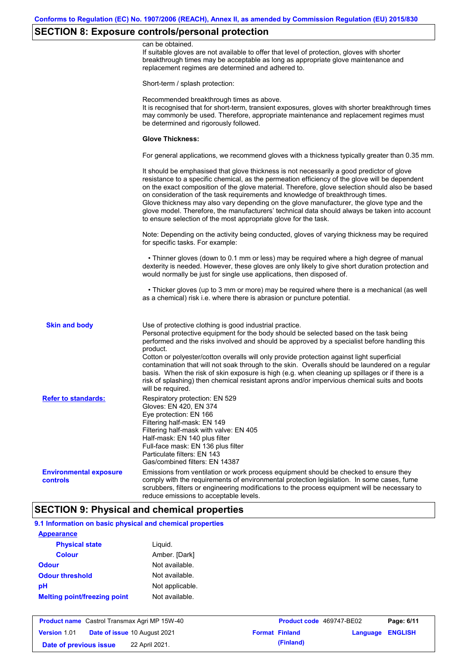# **SECTION 8: Exposure controls/personal protection**

|                                           | can be obtained.<br>If suitable gloves are not available to offer that level of protection, gloves with shorter<br>breakthrough times may be acceptable as long as appropriate glove maintenance and<br>replacement regimes are determined and adhered to.                                                                                                                                                                                                                                                                                                                                                                                        |
|-------------------------------------------|---------------------------------------------------------------------------------------------------------------------------------------------------------------------------------------------------------------------------------------------------------------------------------------------------------------------------------------------------------------------------------------------------------------------------------------------------------------------------------------------------------------------------------------------------------------------------------------------------------------------------------------------------|
|                                           | Short-term / splash protection:                                                                                                                                                                                                                                                                                                                                                                                                                                                                                                                                                                                                                   |
|                                           | Recommended breakthrough times as above.<br>It is recognised that for short-term, transient exposures, gloves with shorter breakthrough times<br>may commonly be used. Therefore, appropriate maintenance and replacement regimes must<br>be determined and rigorously followed.                                                                                                                                                                                                                                                                                                                                                                  |
|                                           | <b>Glove Thickness:</b>                                                                                                                                                                                                                                                                                                                                                                                                                                                                                                                                                                                                                           |
|                                           | For general applications, we recommend gloves with a thickness typically greater than 0.35 mm.                                                                                                                                                                                                                                                                                                                                                                                                                                                                                                                                                    |
|                                           | It should be emphasised that glove thickness is not necessarily a good predictor of glove<br>resistance to a specific chemical, as the permeation efficiency of the glove will be dependent<br>on the exact composition of the glove material. Therefore, glove selection should also be based<br>on consideration of the task requirements and knowledge of breakthrough times.<br>Glove thickness may also vary depending on the glove manufacturer, the glove type and the<br>glove model. Therefore, the manufacturers' technical data should always be taken into account<br>to ensure selection of the most appropriate glove for the task. |
|                                           | Note: Depending on the activity being conducted, gloves of varying thickness may be required<br>for specific tasks. For example:                                                                                                                                                                                                                                                                                                                                                                                                                                                                                                                  |
|                                           | • Thinner gloves (down to 0.1 mm or less) may be required where a high degree of manual<br>dexterity is needed. However, these gloves are only likely to give short duration protection and<br>would normally be just for single use applications, then disposed of.                                                                                                                                                                                                                                                                                                                                                                              |
|                                           | • Thicker gloves (up to 3 mm or more) may be required where there is a mechanical (as well<br>as a chemical) risk i.e. where there is abrasion or puncture potential.                                                                                                                                                                                                                                                                                                                                                                                                                                                                             |
| <b>Skin and body</b>                      | Use of protective clothing is good industrial practice.<br>Personal protective equipment for the body should be selected based on the task being<br>performed and the risks involved and should be approved by a specialist before handling this<br>product.<br>Cotton or polyester/cotton overalls will only provide protection against light superficial<br>contamination that will not soak through to the skin. Overalls should be laundered on a regular<br>basis. When the risk of skin exposure is high (e.g. when cleaning up spillages or if there is a                                                                                  |
|                                           | risk of splashing) then chemical resistant aprons and/or impervious chemical suits and boots<br>will be required.                                                                                                                                                                                                                                                                                                                                                                                                                                                                                                                                 |
| <b>Refer to standards:</b>                | Respiratory protection: EN 529<br>Gloves: EN 420, EN 374<br>Eye protection: EN 166<br>Filtering half-mask: EN 149<br>Filtering half-mask with valve: EN 405<br>Half-mask: EN 140 plus filter<br>Full-face mask: EN 136 plus filter<br>Particulate filters: EN 143<br>Gas/combined filters: EN 14387                                                                                                                                                                                                                                                                                                                                               |
| <b>Environmental exposure</b><br>controls | Emissions from ventilation or work process equipment should be checked to ensure they<br>comply with the requirements of environmental protection legislation. In some cases, fume<br>scrubbers, filters or engineering modifications to the process equipment will be necessary to<br>reduce emissions to acceptable levels.                                                                                                                                                                                                                                                                                                                     |

# **9.1 Information on basic physical and chemical properties**

| <b>Appearance</b>                   |                 |
|-------------------------------------|-----------------|
| <b>Physical state</b>               | Liguid.         |
| Colour                              | Amber. [Dark]   |
| <b>Odour</b>                        | Not available.  |
| <b>Odour threshold</b>              | Not available.  |
| рH                                  | Not applicable. |
| <b>Melting point/freezing point</b> | Not available.  |

| <b>Product name</b> Castrol Transmax Agri MP 15W-40 |  | <b>Product code</b> 469747-BE02     |  | Page: 6/11            |                         |  |
|-----------------------------------------------------|--|-------------------------------------|--|-----------------------|-------------------------|--|
| <b>Version 1.01</b>                                 |  | <b>Date of issue 10 August 2021</b> |  | <b>Format Finland</b> | <b>Language ENGLISH</b> |  |
| Date of previous issue                              |  | 22 April 2021.                      |  | (Finland)             |                         |  |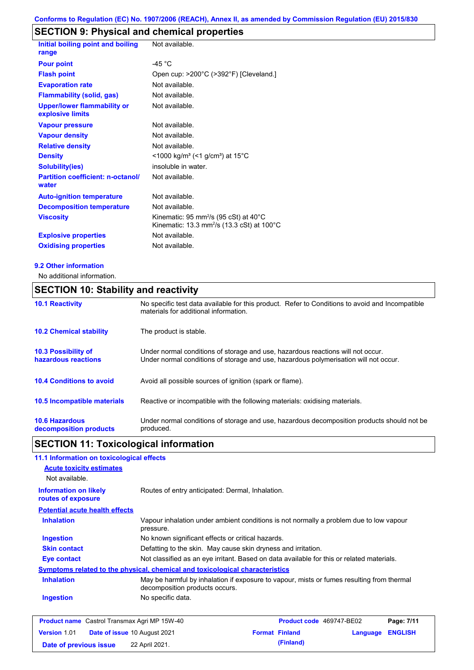# **SECTION 9: Physical and chemical properties**

| Initial boiling point and boiling<br>range             | Not available.                                                                                                         |
|--------------------------------------------------------|------------------------------------------------------------------------------------------------------------------------|
| <b>Pour point</b>                                      | $-45 °C$                                                                                                               |
| <b>Flash point</b>                                     | Open cup: >200°C (>392°F) [Cleveland.]                                                                                 |
| <b>Evaporation rate</b>                                | Not available.                                                                                                         |
| <b>Flammability (solid, gas)</b>                       | Not available.                                                                                                         |
| <b>Upper/lower flammability or</b><br>explosive limits | Not available.                                                                                                         |
| <b>Vapour pressure</b>                                 | Not available.                                                                                                         |
| <b>Vapour density</b>                                  | Not available.                                                                                                         |
| <b>Relative density</b>                                | Not available.                                                                                                         |
| <b>Density</b>                                         | <1000 kg/m <sup>3</sup> (<1 g/cm <sup>3</sup> ) at 15°C                                                                |
| <b>Solubility(ies)</b>                                 | insoluble in water.                                                                                                    |
| <b>Partition coefficient: n-octanol/</b><br>water      | Not available.                                                                                                         |
| <b>Auto-ignition temperature</b>                       | Not available.                                                                                                         |
| <b>Decomposition temperature</b>                       | Not available.                                                                                                         |
| <b>Viscosity</b>                                       | Kinematic: 95 mm <sup>2</sup> /s (95 cSt) at 40 $^{\circ}$ C<br>Kinematic: 13.3 mm <sup>2</sup> /s (13.3 cSt) at 100°C |
| <b>Explosive properties</b>                            | Not available.                                                                                                         |
| <b>Oxidising properties</b>                            | Not available.                                                                                                         |

#### **9.2 Other information**

No additional information.

# **SECTION 10: Stability and reactivity**

| <b>10.1 Reactivity</b>                            | No specific test data available for this product. Refer to Conditions to avoid and Incompatible<br>materials for additional information.                                |
|---------------------------------------------------|-------------------------------------------------------------------------------------------------------------------------------------------------------------------------|
| <b>10.2 Chemical stability</b>                    | The product is stable.                                                                                                                                                  |
| <b>10.3 Possibility of</b><br>hazardous reactions | Under normal conditions of storage and use, hazardous reactions will not occur.<br>Under normal conditions of storage and use, hazardous polymerisation will not occur. |
| <b>10.4 Conditions to avoid</b>                   | Avoid all possible sources of ignition (spark or flame).                                                                                                                |
| <b>10.5 Incompatible materials</b>                | Reactive or incompatible with the following materials: oxidising materials.                                                                                             |
| <b>10.6 Hazardous</b><br>decomposition products   | Under normal conditions of storage and use, hazardous decomposition products should not be<br>produced.                                                                 |

# **SECTION 11: Toxicological information**

| 11.1 Information on toxicological effects                                    |                                                   |                                                                                           |          |                |
|------------------------------------------------------------------------------|---------------------------------------------------|-------------------------------------------------------------------------------------------|----------|----------------|
| <b>Acute toxicity estimates</b><br>Not available.                            |                                                   |                                                                                           |          |                |
| <b>Information on likely</b><br>routes of exposure                           | Routes of entry anticipated: Dermal, Inhalation.  |                                                                                           |          |                |
| <b>Potential acute health effects</b>                                        |                                                   |                                                                                           |          |                |
| <b>Inhalation</b>                                                            | pressure.                                         | Vapour inhalation under ambient conditions is not normally a problem due to low vapour    |          |                |
| Ingestion                                                                    | No known significant effects or critical hazards. |                                                                                           |          |                |
| <b>Skin contact</b>                                                          |                                                   | Defatting to the skin. May cause skin dryness and irritation.                             |          |                |
| Eye contact                                                                  |                                                   | Not classified as an eye irritant. Based on data available for this or related materials. |          |                |
| Symptoms related to the physical, chemical and toxicological characteristics |                                                   |                                                                                           |          |                |
| <b>Inhalation</b>                                                            | decomposition products occurs.                    | May be harmful by inhalation if exposure to vapour, mists or fumes resulting from thermal |          |                |
| <b>Ingestion</b>                                                             | No specific data.                                 |                                                                                           |          |                |
| <b>Product name</b> Castrol Transmax Agri MP 15W-40                          |                                                   | Product code 469747-BE02                                                                  |          | Page: 7/11     |
| <b>Version 1.01</b>                                                          | <b>Date of issue 10 August 2021</b>               | <b>Format Finland</b>                                                                     | Language | <b>ENGLISH</b> |

**Date of previous issue** 22 April 2021.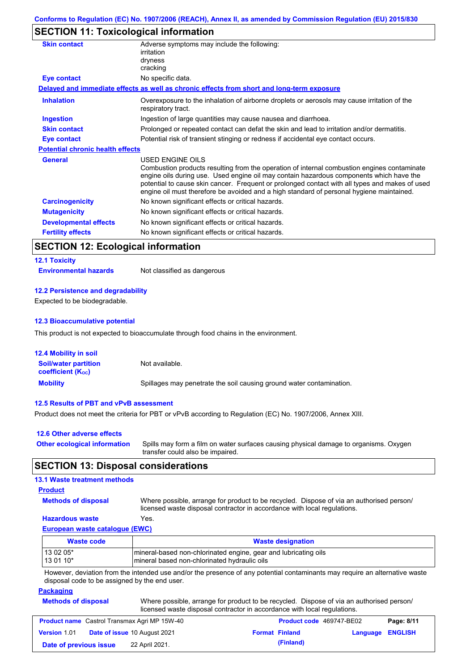# **SECTION 11: Toxicological information**

| Adverse symptoms may include the following:<br>irritation                                                                                                                                                                                                                                                                                                                                                |
|----------------------------------------------------------------------------------------------------------------------------------------------------------------------------------------------------------------------------------------------------------------------------------------------------------------------------------------------------------------------------------------------------------|
| dryness                                                                                                                                                                                                                                                                                                                                                                                                  |
| cracking                                                                                                                                                                                                                                                                                                                                                                                                 |
| No specific data.                                                                                                                                                                                                                                                                                                                                                                                        |
| Delayed and immediate effects as well as chronic effects from short and long-term exposure                                                                                                                                                                                                                                                                                                               |
| Overexposure to the inhalation of airborne droplets or aerosols may cause irritation of the<br>respiratory tract.                                                                                                                                                                                                                                                                                        |
| Ingestion of large quantities may cause nausea and diarrhoea.                                                                                                                                                                                                                                                                                                                                            |
| Prolonged or repeated contact can defat the skin and lead to irritation and/or dermatitis.                                                                                                                                                                                                                                                                                                               |
| Potential risk of transient stinging or redness if accidental eye contact occurs.                                                                                                                                                                                                                                                                                                                        |
| <b>Potential chronic health effects</b>                                                                                                                                                                                                                                                                                                                                                                  |
| USED ENGINE OILS<br>Combustion products resulting from the operation of internal combustion engines contaminate<br>engine oils during use. Used engine oil may contain hazardous components which have the<br>potential to cause skin cancer. Frequent or prolonged contact with all types and makes of used<br>engine oil must therefore be avoided and a high standard of personal hygiene maintained. |
| No known significant effects or critical hazards.                                                                                                                                                                                                                                                                                                                                                        |
| No known significant effects or critical hazards.                                                                                                                                                                                                                                                                                                                                                        |
| No known significant effects or critical hazards.                                                                                                                                                                                                                                                                                                                                                        |
| No known significant effects or critical hazards.                                                                                                                                                                                                                                                                                                                                                        |
|                                                                                                                                                                                                                                                                                                                                                                                                          |

## **SECTION 12: Ecological information**

#### **12.1 Toxicity**

**Environmental hazards** Not classified as dangerous

#### **12.2 Persistence and degradability**

Expected to be biodegradable.

#### **12.3 Bioaccumulative potential**

This product is not expected to bioaccumulate through food chains in the environment.

| <b>12.4 Mobility in soil</b>                            |                                                                      |
|---------------------------------------------------------|----------------------------------------------------------------------|
| <b>Soil/water partition</b><br><b>coefficient (Koc)</b> | Not available.                                                       |
| <b>Mobility</b>                                         | Spillages may penetrate the soil causing ground water contamination. |

#### **12.5 Results of PBT and vPvB assessment**

Product does not meet the criteria for PBT or vPvB according to Regulation (EC) No. 1907/2006, Annex XIII.

| 12.6 Other adverse effects          |                                                                                                                           |
|-------------------------------------|---------------------------------------------------------------------------------------------------------------------------|
| <b>Other ecological information</b> | Spills may form a film on water surfaces causing physical damage to organisms. Oxygen<br>transfer could also be impaired. |

### **SECTION 13: Disposal considerations**

### **13.1 Waste treatment methods**

### **Product**

**Methods of disposal**

Where possible, arrange for product to be recycled. Dispose of via an authorised person/

### **Hazardous waste** Yes.

licensed waste disposal contractor in accordance with local regulations.

### **European waste catalogue (EWC)**

| Waste code | <b>Waste designation</b>                                        |
|------------|-----------------------------------------------------------------|
| 13 02 05*  | mineral-based non-chlorinated engine, gear and lubricating oils |
| 13 01 10*  | mineral based non-chlorinated hydraulic oils                    |

However, deviation from the intended use and/or the presence of any potential contaminants may require an alternative waste disposal code to be assigned by the end user.

#### **Packaging**

| <b>Methods of disposal</b> | Where possible, arrange for product to be recycled. Dispose of via an authorised person/ |
|----------------------------|------------------------------------------------------------------------------------------|
|                            | licensed waste disposal contractor in accordance with local regulations.                 |

| <b>Product name</b> Castrol Transmax Agri MP 15W-40 |  |                                     | <b>Product code</b> 469747-BE02 |                       | Page: 8/11              |  |
|-----------------------------------------------------|--|-------------------------------------|---------------------------------|-----------------------|-------------------------|--|
| <b>Version 1.01</b>                                 |  | <b>Date of issue 10 August 2021</b> |                                 | <b>Format Finland</b> | <b>Language ENGLISH</b> |  |
| Date of previous issue                              |  | 22 April 2021.                      |                                 | (Finland)             |                         |  |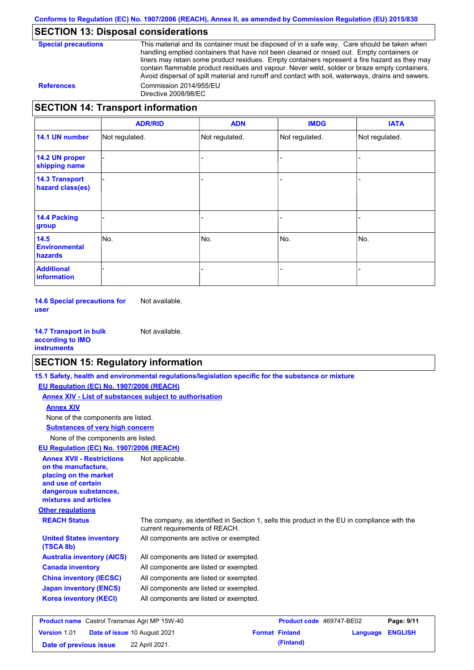### **SECTION 13: Disposal considerations**

| <b>Special precautions</b> |
|----------------------------|
|----------------------------|

This material and its container must be disposed of in a safe way. Care should be taken when handling emptied containers that have not been cleaned or rinsed out. Empty containers or liners may retain some product residues. Empty containers represent a fire hazard as they may contain flammable product residues and vapour. Never weld, solder or braze empty containers. Avoid dispersal of spilt material and runoff and contact with soil, waterways, drains and sewers. **References** Commission 2014/955/EU Directive 2008/98/EC

### **SECTION 14: Transport information**

|                                           | <b>ADR/RID</b> | <b>ADN</b>     | <b>IMDG</b>    | <b>IATA</b>    |
|-------------------------------------------|----------------|----------------|----------------|----------------|
| 14.1 UN number                            | Not regulated. | Not regulated. | Not regulated. | Not regulated. |
| 14.2 UN proper<br>shipping name           |                |                |                |                |
| <b>14.3 Transport</b><br>hazard class(es) |                |                |                |                |
| <b>14.4 Packing</b><br>group              |                |                |                |                |
| 14.5<br><b>Environmental</b><br>hazards   | No.            | No.            | No.            | No.            |
| <b>Additional</b><br>information          |                |                |                |                |

**14.6 Special precautions for user** Not available.

**14.7 Transport in bulk according to IMO instruments** Not available.

### **SECTION 15: Regulatory information**

|                                                                                                                                                          | 15.1 Safety, health and environmental regulations/legislation specific for the substance or mixture                            |                          |          |                |
|----------------------------------------------------------------------------------------------------------------------------------------------------------|--------------------------------------------------------------------------------------------------------------------------------|--------------------------|----------|----------------|
| EU Regulation (EC) No. 1907/2006 (REACH)                                                                                                                 |                                                                                                                                |                          |          |                |
| Annex XIV - List of substances subject to authorisation                                                                                                  |                                                                                                                                |                          |          |                |
| <b>Annex XIV</b>                                                                                                                                         |                                                                                                                                |                          |          |                |
| None of the components are listed.                                                                                                                       |                                                                                                                                |                          |          |                |
| <b>Substances of very high concern</b>                                                                                                                   |                                                                                                                                |                          |          |                |
| None of the components are listed.                                                                                                                       |                                                                                                                                |                          |          |                |
| EU Regulation (EC) No. 1907/2006 (REACH)                                                                                                                 |                                                                                                                                |                          |          |                |
| <b>Annex XVII - Restrictions</b><br>on the manufacture.<br>placing on the market<br>and use of certain<br>dangerous substances,<br>mixtures and articles | Not applicable.                                                                                                                |                          |          |                |
| <b>Other regulations</b>                                                                                                                                 |                                                                                                                                |                          |          |                |
| <b>REACH Status</b>                                                                                                                                      | The company, as identified in Section 1, sells this product in the EU in compliance with the<br>current requirements of REACH. |                          |          |                |
| <b>United States inventory</b><br>(TSCA 8b)                                                                                                              | All components are active or exempted.                                                                                         |                          |          |                |
| <b>Australia inventory (AICS)</b>                                                                                                                        | All components are listed or exempted.                                                                                         |                          |          |                |
| <b>Canada inventory</b>                                                                                                                                  | All components are listed or exempted.                                                                                         |                          |          |                |
| <b>China inventory (IECSC)</b>                                                                                                                           | All components are listed or exempted.                                                                                         |                          |          |                |
| <b>Japan inventory (ENCS)</b>                                                                                                                            | All components are listed or exempted.                                                                                         |                          |          |                |
| <b>Korea inventory (KECI)</b>                                                                                                                            | All components are listed or exempted.                                                                                         |                          |          |                |
| <b>Product name</b> Castrol Transmax Agri MP 15W-40                                                                                                      |                                                                                                                                | Product code 469747-BE02 |          | Page: 9/11     |
| Date of issue 10 August 2021<br>Version 1.01                                                                                                             |                                                                                                                                | <b>Format Finland</b>    | Language | <b>ENGLISH</b> |

**Date of previous issue (Finland)** 22 April 2021.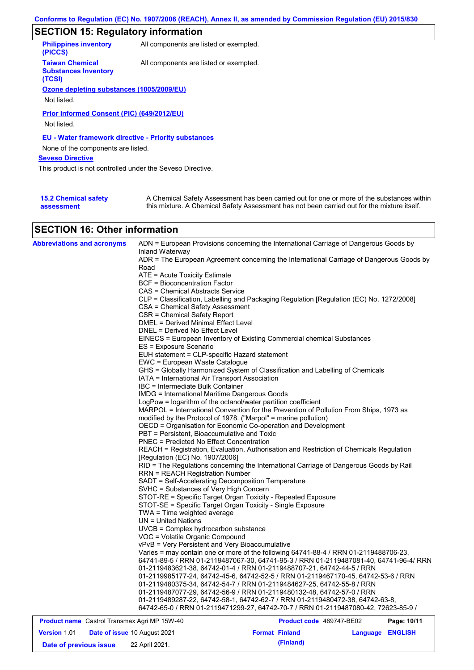# **SECTION 15: Regulatory information**

| <b>Philippines inventory</b><br>(PICCS)                         | All components are listed or exempted. |
|-----------------------------------------------------------------|----------------------------------------|
| <b>Taiwan Chemical</b><br><b>Substances Inventory</b><br>(TCSI) | All components are listed or exempted. |
| Ozone depleting substances (1005/2009/EU)                       |                                        |
|                                                                 |                                        |
| Not listed.                                                     |                                        |
| Prior Informed Consent (PIC) (649/2012/EU)<br>Not listed.       |                                        |
| <b>EU - Water framework directive - Priority substances</b>     |                                        |
| None of the components are listed.                              |                                        |
| <b>Seveso Directive</b>                                         |                                        |
| This product is not controlled under the Seveso Directive.      |                                        |
|                                                                 |                                        |
|                                                                 |                                        |

| <b>15.2 Chemical safety</b> | A Chemical Safety Assessment has been carried out for one or more of the substances within  |
|-----------------------------|---------------------------------------------------------------------------------------------|
| assessment                  | this mixture. A Chemical Safety Assessment has not been carried out for the mixture itself. |

### **SECTION 16: Other information**

| <b>Abbreviations and acronyms</b>                   | ADN = European Provisions concerning the International Carriage of Dangerous Goods by                                                                          |  |  |  |  |  |
|-----------------------------------------------------|----------------------------------------------------------------------------------------------------------------------------------------------------------------|--|--|--|--|--|
|                                                     | Inland Waterway<br>ADR = The European Agreement concerning the International Carriage of Dangerous Goods by                                                    |  |  |  |  |  |
|                                                     | Road                                                                                                                                                           |  |  |  |  |  |
|                                                     | ATE = Acute Toxicity Estimate                                                                                                                                  |  |  |  |  |  |
|                                                     | BCF = Bioconcentration Factor                                                                                                                                  |  |  |  |  |  |
|                                                     | CAS = Chemical Abstracts Service                                                                                                                               |  |  |  |  |  |
|                                                     | CLP = Classification, Labelling and Packaging Regulation [Regulation (EC) No. 1272/2008]                                                                       |  |  |  |  |  |
|                                                     | CSA = Chemical Safety Assessment                                                                                                                               |  |  |  |  |  |
|                                                     | CSR = Chemical Safety Report                                                                                                                                   |  |  |  |  |  |
|                                                     | DMEL = Derived Minimal Effect Level                                                                                                                            |  |  |  |  |  |
|                                                     | DNEL = Derived No Effect Level                                                                                                                                 |  |  |  |  |  |
|                                                     | EINECS = European Inventory of Existing Commercial chemical Substances                                                                                         |  |  |  |  |  |
|                                                     | ES = Exposure Scenario                                                                                                                                         |  |  |  |  |  |
|                                                     | EUH statement = CLP-specific Hazard statement                                                                                                                  |  |  |  |  |  |
|                                                     | EWC = European Waste Catalogue                                                                                                                                 |  |  |  |  |  |
|                                                     | GHS = Globally Harmonized System of Classification and Labelling of Chemicals                                                                                  |  |  |  |  |  |
|                                                     | IATA = International Air Transport Association                                                                                                                 |  |  |  |  |  |
|                                                     | IBC = Intermediate Bulk Container                                                                                                                              |  |  |  |  |  |
|                                                     | IMDG = International Maritime Dangerous Goods                                                                                                                  |  |  |  |  |  |
|                                                     | LogPow = logarithm of the octanol/water partition coefficient                                                                                                  |  |  |  |  |  |
|                                                     | MARPOL = International Convention for the Prevention of Pollution From Ships, 1973 as                                                                          |  |  |  |  |  |
|                                                     | modified by the Protocol of 1978. ("Marpol" = marine pollution)                                                                                                |  |  |  |  |  |
|                                                     | OECD = Organisation for Economic Co-operation and Development                                                                                                  |  |  |  |  |  |
|                                                     | PBT = Persistent, Bioaccumulative and Toxic                                                                                                                    |  |  |  |  |  |
|                                                     | <b>PNEC = Predicted No Effect Concentration</b>                                                                                                                |  |  |  |  |  |
|                                                     | REACH = Registration, Evaluation, Authorisation and Restriction of Chemicals Regulation                                                                        |  |  |  |  |  |
|                                                     | [Regulation (EC) No. 1907/2006]                                                                                                                                |  |  |  |  |  |
|                                                     | RID = The Regulations concerning the International Carriage of Dangerous Goods by Rail                                                                         |  |  |  |  |  |
|                                                     | <b>RRN = REACH Registration Number</b>                                                                                                                         |  |  |  |  |  |
|                                                     | SADT = Self-Accelerating Decomposition Temperature                                                                                                             |  |  |  |  |  |
|                                                     | SVHC = Substances of Very High Concern                                                                                                                         |  |  |  |  |  |
|                                                     | STOT-RE = Specific Target Organ Toxicity - Repeated Exposure                                                                                                   |  |  |  |  |  |
|                                                     | STOT-SE = Specific Target Organ Toxicity - Single Exposure                                                                                                     |  |  |  |  |  |
|                                                     | TWA = Time weighted average                                                                                                                                    |  |  |  |  |  |
|                                                     | $UN = United Nations$                                                                                                                                          |  |  |  |  |  |
|                                                     | $UVCB = Complex\;hydrocarbon\; substance$                                                                                                                      |  |  |  |  |  |
|                                                     | VOC = Volatile Organic Compound<br>vPvB = Very Persistent and Very Bioaccumulative                                                                             |  |  |  |  |  |
|                                                     |                                                                                                                                                                |  |  |  |  |  |
|                                                     | Varies = may contain one or more of the following 64741-88-4 / RRN 01-2119488706-23,                                                                           |  |  |  |  |  |
|                                                     | 64741-89-5 / RRN 01-2119487067-30, 64741-95-3 / RRN 01-2119487081-40, 64741-96-4/ RRN<br>01-2119483621-38, 64742-01-4 / RRN 01-2119488707-21, 64742-44-5 / RRN |  |  |  |  |  |
|                                                     | 01-2119985177-24, 64742-45-6, 64742-52-5 / RRN 01-2119467170-45, 64742-53-6 / RRN                                                                              |  |  |  |  |  |
|                                                     | 01-2119480375-34, 64742-54-7 / RRN 01-2119484627-25, 64742-55-8 / RRN                                                                                          |  |  |  |  |  |
|                                                     | 01-2119487077-29, 64742-56-9 / RRN 01-2119480132-48, 64742-57-0 / RRN                                                                                          |  |  |  |  |  |
|                                                     | 01-2119489287-22, 64742-58-1, 64742-62-7 / RRN 01-2119480472-38, 64742-63-8,                                                                                   |  |  |  |  |  |
|                                                     | 64742-65-0 / RRN 01-2119471299-27, 64742-70-7 / RRN 01-2119487080-42, 72623-85-9 /                                                                             |  |  |  |  |  |
|                                                     |                                                                                                                                                                |  |  |  |  |  |
| <b>Product name</b> Castrol Transmax Agri MP 15W-40 | Product code 469747-BE02<br>Page: 10/11                                                                                                                        |  |  |  |  |  |
|                                                     |                                                                                                                                                                |  |  |  |  |  |

| Version 1.01           | <b>Date of issue 10 August 2021</b> | <b>Format Finland</b> |           | Language ENGLISH |  |
|------------------------|-------------------------------------|-----------------------|-----------|------------------|--|
| Date of previous issue | 22 April 2021.                      |                       | (Finland) |                  |  |